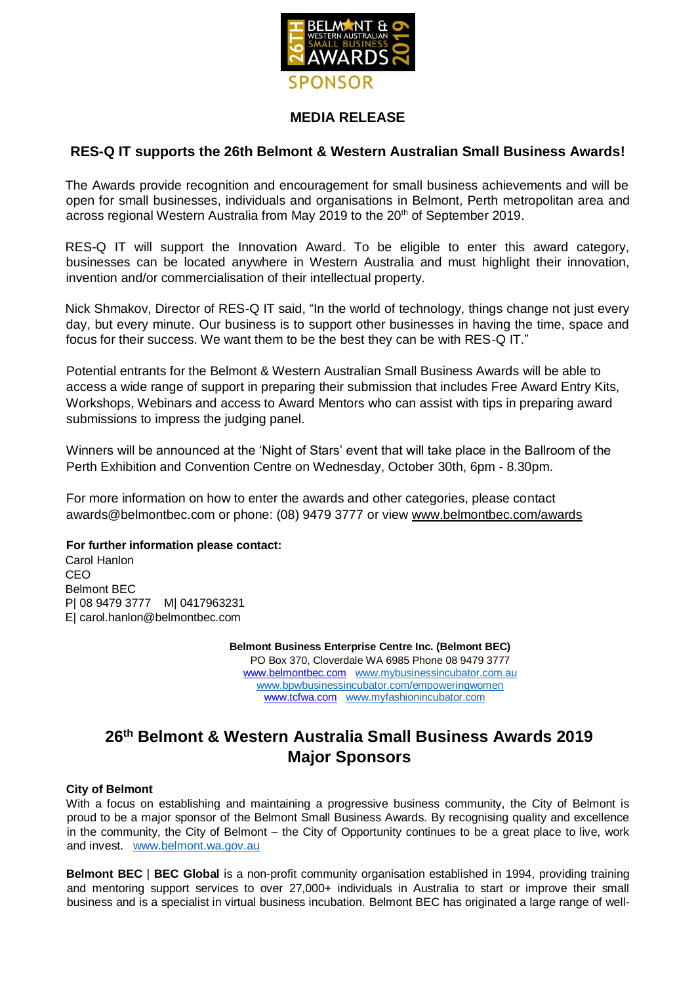

## **MEDIA RELEASE**

## **RES-Q IT supports the 26th Belmont & Western Australian Small Business Awards!**

The Awards provide recognition and encouragement for small business achievements and will be open for small businesses, individuals and organisations in Belmont, Perth metropolitan area and across regional Western Australia from May 2019 to the 20<sup>th</sup> of September 2019.

RES-Q IT will support the Innovation Award. To be eligible to enter this award category, businesses can be located anywhere in Western Australia and must highlight their innovation, invention and/or commercialisation of their intellectual property.

Nick Shmakov, Director of RES-Q IT said, "In the world of technology, things change not just every day, but every minute. Our business is to support other businesses in having the time, space and focus for their success. We want them to be the best they can be with RES-Q IT."

Potential entrants for the Belmont & Western Australian Small Business Awards will be able to access a wide range of support in preparing their submission that includes Free Award Entry Kits, Workshops, Webinars and access to Award Mentors who can assist with tips in preparing award submissions to impress the judging panel.

Winners will be announced at the 'Night of Stars' event that will take place in the Ballroom of the Perth Exhibition and Convention Centre on Wednesday, October 30th, 6pm - 8.30pm.

For more information on how to enter the awards and other categories, please contact awards@belmontbec.com or phone: (08) 9479 3777 or view [www.belmontbec.com/awards](http://www.belmontbec.com/awards)

### **For further information please contact:**

Carol Hanlon CEO Belmont BEC P| 08 9479 3777 M| 0417963231 E| carol.hanlon@belmontbec.com

> **Belmont Business Enterprise Centre Inc. (Belmont BEC)** PO Box 370, Cloverdale WA 6985 Phone 08 9479 3777 [www.belmontbec.com](http://www.belmontbec.com/) [www.mybusinessincubator.com.au](http://www.mybusinessincubator.com.au/) [www.bpwbusinessincubator.com/empoweringwomen](http://www.bpwbusinessincubator.com/empoweringwomen)  [www.tcfwa.com](http://www.tcfwa.com/) [www.myfashionincubator.com](http://www.tcfaustralia.com/)

# **26th Belmont & Western Australia Small Business Awards 2019 Major Sponsors**

### **City of Belmont**

With a focus on establishing and maintaining a progressive business community, the City of Belmont is proud to be a major sponsor of the Belmont Small Business Awards. By recognising quality and excellence in the community, the City of Belmont – the City of Opportunity continues to be a great place to live, work and invest. [www.belmont.wa.gov.au](http://www.belmont.wa.gov.au/)

**Belmont BEC** | **BEC Global** is a non-profit community organisation established in 1994, providing training and mentoring support services to over 27,000+ individuals in Australia to start or improve their small business and is a specialist in virtual business incubation. Belmont BEC has originated a large range of well-